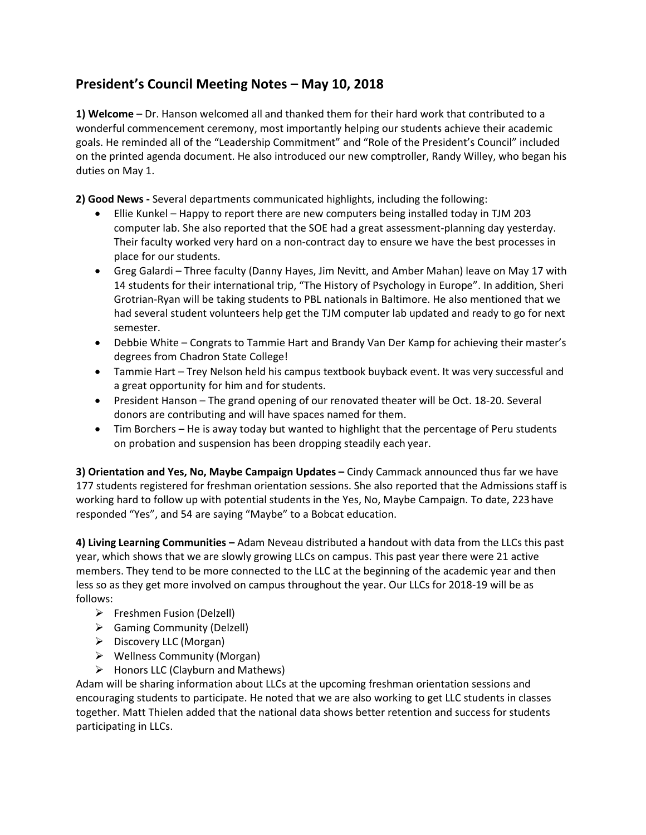## **President's Council Meeting Notes – May 10, 2018**

**1) Welcome** – Dr. Hanson welcomed all and thanked them for their hard work that contributed to a wonderful commencement ceremony, most importantly helping our students achieve their academic goals. He reminded all of the "Leadership Commitment" and "Role of the President's Council" included on the printed agenda document. He also introduced our new comptroller, Randy Willey, who began his duties on May 1.

**2) Good News -** Several departments communicated highlights, including the following:

- · Ellie Kunkel Happy to report there are new computers being installed today in TJM 203 computer lab. She also reported that the SOE had a great assessment-planning day yesterday. Their faculty worked very hard on a non-contract day to ensure we have the best processes in place for our students.
- · Greg Galardi Three faculty (Danny Hayes, Jim Nevitt, and Amber Mahan) leave on May 17 with 14 students for their international trip, "The History of Psychology in Europe". In addition, Sheri Grotrian-Ryan will be taking students to PBL nationals in Baltimore. He also mentioned that we had several student volunteers help get the TJM computer lab updated and ready to go for next semester.
- · Debbie White Congrats to Tammie Hart and Brandy Van Der Kamp for achieving their master's degrees from Chadron State College!
- · Tammie Hart Trey Nelson held his campus textbook buyback event. It was very successful and a great opportunity for him and for students.
- · President Hanson The grand opening of our renovated theater will be Oct. 18-20. Several donors are contributing and will have spaces named for them.
- · Tim Borchers He is away today but wanted to highlight that the percentage of Peru students on probation and suspension has been dropping steadily each year.

**3) Orientation and Yes, No, Maybe Campaign Updates –** Cindy Cammack announced thus far we have 177 students registered for freshman orientation sessions. She also reported that the Admissions staff is working hard to follow up with potential students in the Yes, No, Maybe Campaign. To date, 223have responded "Yes", and 54 are saying "Maybe" to a Bobcat education.

**4) Living Learning Communities –** Adam Neveau distributed a handout with data from the LLCs this past year, which shows that we are slowly growing LLCs on campus. This past year there were 21 active members. They tend to be more connected to the LLC at the beginning of the academic year and then less so as they get more involved on campus throughout the year. Our LLCs for 2018-19 will be as follows:

- $\triangleright$  Freshmen Fusion (Delzell)
- $\triangleright$  Gaming Community (Delzell)
- $\triangleright$  Discovery LLC (Morgan)
- $\triangleright$  Wellness Community (Morgan)
- $\triangleright$  Honors LLC (Clayburn and Mathews)

Adam will be sharing information about LLCs at the upcoming freshman orientation sessions and encouraging students to participate. He noted that we are also working to get LLC students in classes together. Matt Thielen added that the national data shows better retention and success for students participating in LLCs.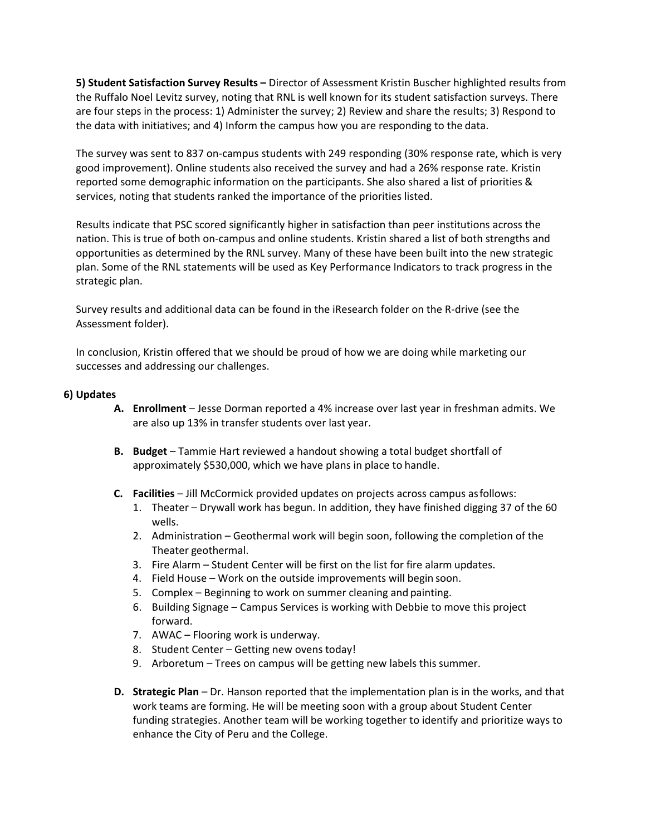**5) Student Satisfaction Survey Results –** Director of Assessment Kristin Buscher highlighted results from the Ruffalo Noel Levitz survey, noting that RNL is well known for its student satisfaction surveys. There are four steps in the process: 1) Administer the survey; 2) Review and share the results; 3) Respond to the data with initiatives; and 4) Inform the campus how you are responding to the data.

The survey was sent to 837 on-campus students with 249 responding (30% response rate, which is very good improvement). Online students also received the survey and had a 26% response rate. Kristin reported some demographic information on the participants. She also shared a list of priorities & services, noting that students ranked the importance of the priorities listed.

Results indicate that PSC scored significantly higher in satisfaction than peer institutions across the nation. This is true of both on-campus and online students. Kristin shared a list of both strengths and opportunities as determined by the RNL survey. Many of these have been built into the new strategic plan. Some of the RNL statements will be used as Key Performance Indicators to track progress in the strategic plan.

Survey results and additional data can be found in the iResearch folder on the R-drive (see the Assessment folder).

In conclusion, Kristin offered that we should be proud of how we are doing while marketing our successes and addressing our challenges.

## **6) Updates**

- **A. Enrollment**  Jesse Dorman reported a 4% increase over last year in freshman admits. We are also up 13% in transfer students over last year.
- **B. Budget**  Tammie Hart reviewed a handout showing a total budget shortfall of approximately \$530,000, which we have plans in place to handle.
- **C. Facilities**  Jill McCormick provided updates on projects across campus asfollows:
	- 1. Theater Drywall work has begun. In addition, they have finished digging 37 of the 60 wells.
	- 2. Administration Geothermal work will begin soon, following the completion of the Theater geothermal.
	- 3. Fire Alarm Student Center will be first on the list for fire alarm updates.
	- 4. Field House Work on the outside improvements will begin soon.
	- 5. Complex Beginning to work on summer cleaning and painting.
	- 6. Building Signage Campus Services is working with Debbie to move this project forward.
	- 7. AWAC Flooring work is underway.
	- 8. Student Center Getting new ovens today!
	- 9. Arboretum Trees on campus will be getting new labels this summer.
- **D. Strategic Plan**  Dr. Hanson reported that the implementation plan is in the works, and that work teams are forming. He will be meeting soon with a group about Student Center funding strategies. Another team will be working together to identify and prioritize ways to enhance the City of Peru and the College.